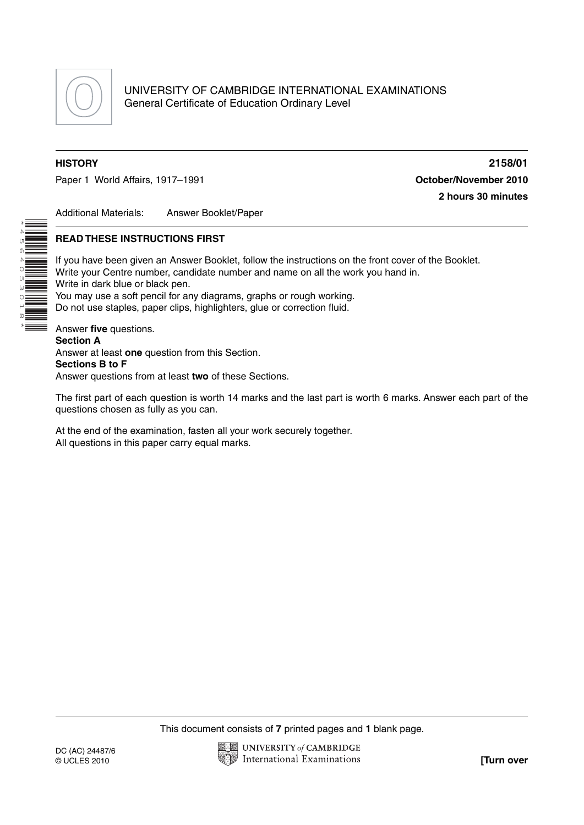

\*4 (л 0 4

0<br>530

**MILLE** 

 $\overline{a}$  $\infty$ \* Paper 1 World Affairs, 1917–1991 **Constanting Constanting Constanting Constanting Constanting Constanting Constanting Constanting Constanting Constanting Constanting Constanting Constanting Constanting Constanting Constant** 

**HISTORY 2158/01 2 hours 30 minutes**

Additional Materials: Answer Booklet/Paper

## **READ THESE INSTRUCTIONS FIRST**

If you have been given an Answer Booklet, follow the instructions on the front cover of the Booklet. Write your Centre number, candidate number and name on all the work you hand in. Write in dark blue or black pen. You may use a soft pencil for any diagrams, graphs or rough working. Do not use staples, paper clips, highlighters, glue or correction fluid. Answer **five** questions.

**Section A** Answer at least **one** question from this Section. **Sections B to F** Answer questions from at least **two** of these Sections.

The first part of each question is worth 14 marks and the last part is worth 6 marks. Answer each part of the questions chosen as fully as you can.

At the end of the examination, fasten all your work securely together. All questions in this paper carry equal marks.

This document consists of **7** printed pages and **1** blank page.

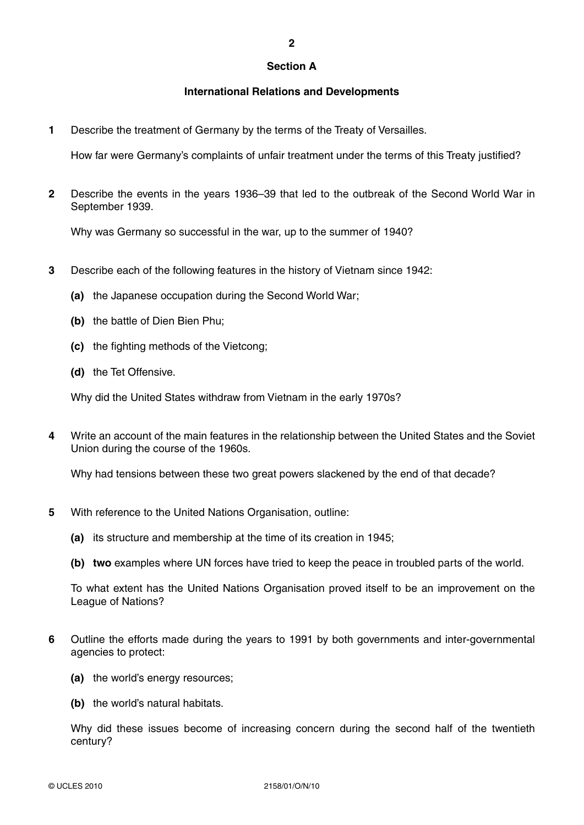#### **Section A**

**2**

## **International Relations and Developments**

**1** Describe the treatment of Germany by the terms of the Treaty of Versailles.

How far were Germany's complaints of unfair treatment under the terms of this Treaty justified?

**2** Describe the events in the years 1936–39 that led to the outbreak of the Second World War in September 1939.

Why was Germany so successful in the war, up to the summer of 1940?

- **3** Describe each of the following features in the history of Vietnam since 1942:
	- **(a)** the Japanese occupation during the Second World War;
	- **(b)** the battle of Dien Bien Phu;
	- **(c)** the fighting methods of the Vietcong;
	- **(d)** the Tet Offensive.

Why did the United States withdraw from Vietnam in the early 1970s?

**4** Write an account of the main features in the relationship between the United States and the Soviet Union during the course of the 1960s.

Why had tensions between these two great powers slackened by the end of that decade?

- **5** With reference to the United Nations Organisation, outline:
	- **(a)** its structure and membership at the time of its creation in 1945;
	- **(b) two** examples where UN forces have tried to keep the peace in troubled parts of the world.

To what extent has the United Nations Organisation proved itself to be an improvement on the League of Nations?

- **6** Outline the efforts made during the years to 1991 by both governments and inter-governmental agencies to protect:
	- **(a)** the world's energy resources;
	- **(b)** the world's natural habitats.

Why did these issues become of increasing concern during the second half of the twentieth century?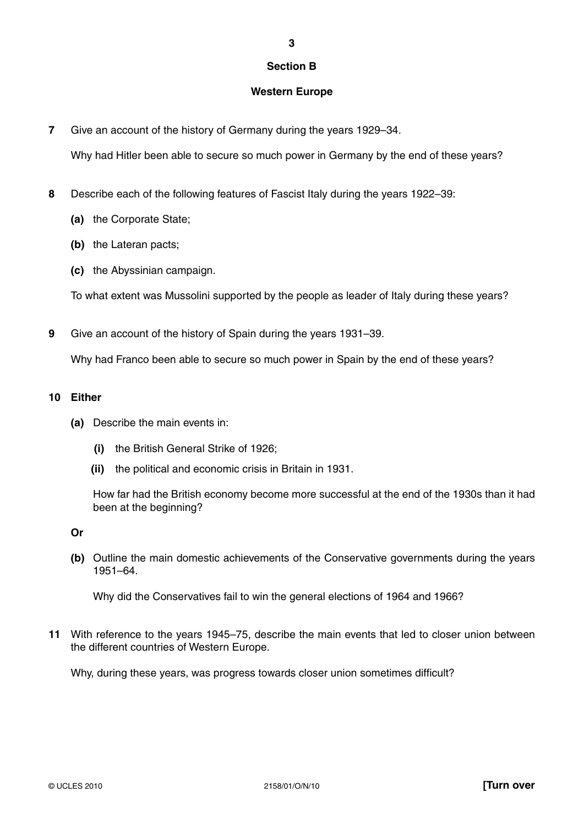## **Section B**

**3**

## **Western Europe**

**7** Give an account of the history of Germany during the years 1929–34.

Why had Hitler been able to secure so much power in Germany by the end of these years?

- **8** Describe each of the following features of Fascist Italy during the years 1922–39:
	- **(a)** the Corporate State;
	- **(b)** the Lateran pacts;
	- **(c)** the Abyssinian campaign.

To what extent was Mussolini supported by the people as leader of Italy during these years?

**9** Give an account of the history of Spain during the years 1931–39.

Why had Franco been able to secure so much power in Spain by the end of these years?

## **10 Either**

- **(a)** Describe the main events in:
	- **(i)** the British General Strike of 1926;
	- **(ii)** the political and economic crisis in Britain in 1931.

How far had the British economy become more successful at the end of the 1930s than it had been at the beginning?

 **Or**

 **(b)** Outline the main domestic achievements of the Conservative governments during the years 1951–64.

Why did the Conservatives fail to win the general elections of 1964 and 1966?

**11** With reference to the years 1945–75, describe the main events that led to closer union between the different countries of Western Europe.

Why, during these years, was progress towards closer union sometimes difficult?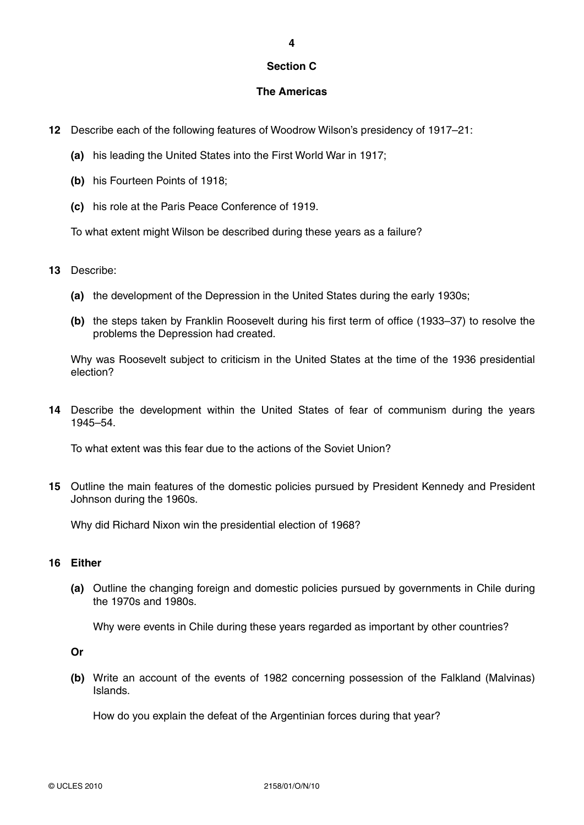## **Section C**

## **The Americas**

- **12** Describe each of the following features of Woodrow Wilson's presidency of 1917–21:
	- **(a)** his leading the United States into the First World War in 1917;
	- **(b)** his Fourteen Points of 1918;
	- **(c)** his role at the Paris Peace Conference of 1919.

To what extent might Wilson be described during these years as a failure?

- **13** Describe:
	- **(a)** the development of the Depression in the United States during the early 1930s;
	- **(b)** the steps taken by Franklin Roosevelt during his first term of office (1933–37) to resolve the problems the Depression had created.

Why was Roosevelt subject to criticism in the United States at the time of the 1936 presidential election?

**14** Describe the development within the United States of fear of communism during the years 1945–54.

To what extent was this fear due to the actions of the Soviet Union?

**15** Outline the main features of the domestic policies pursued by President Kennedy and President Johnson during the 1960s.

Why did Richard Nixon win the presidential election of 1968?

## **16 Either**

 **(a)** Outline the changing foreign and domestic policies pursued by governments in Chile during the 1970s and 1980s.

Why were events in Chile during these years regarded as important by other countries?

 **Or**

 **(b)** Write an account of the events of 1982 concerning possession of the Falkland (Malvinas) Islands.

How do you explain the defeat of the Argentinian forces during that year?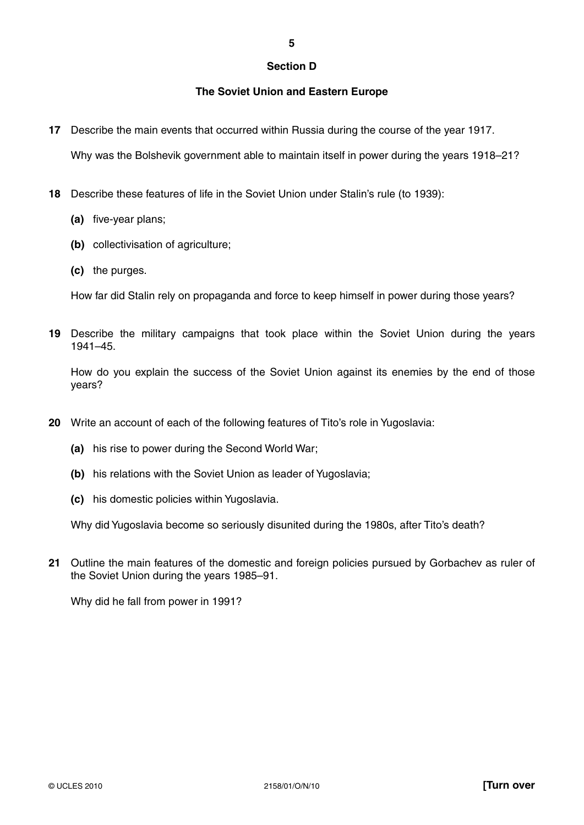#### **Section D**

**5**

## **The Soviet Union and Eastern Europe**

**17** Describe the main events that occurred within Russia during the course of the year 1917.

Why was the Bolshevik government able to maintain itself in power during the years 1918–21?

- **18** Describe these features of life in the Soviet Union under Stalin's rule (to 1939):
	- **(a)** five-year plans;
	- **(b)** collectivisation of agriculture;
	- **(c)** the purges.

How far did Stalin rely on propaganda and force to keep himself in power during those years?

**19** Describe the military campaigns that took place within the Soviet Union during the years 1941–45.

How do you explain the success of the Soviet Union against its enemies by the end of those years?

- **20** Write an account of each of the following features of Tito's role in Yugoslavia:
	- **(a)** his rise to power during the Second World War;
	- **(b)** his relations with the Soviet Union as leader of Yugoslavia;
	- **(c)** his domestic policies within Yugoslavia.

Why did Yugoslavia become so seriously disunited during the 1980s, after Tito's death?

**21** Outline the main features of the domestic and foreign policies pursued by Gorbachev as ruler of the Soviet Union during the years 1985–91.

Why did he fall from power in 1991?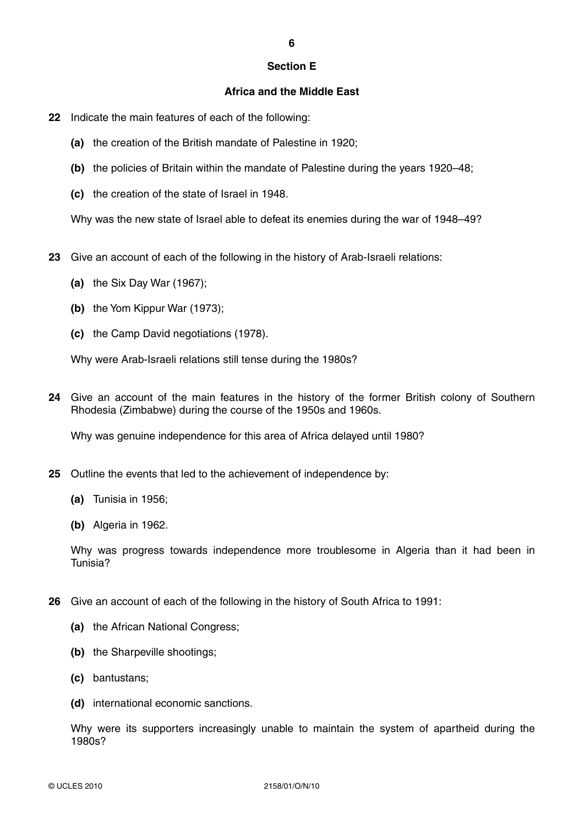#### **Section E**

## **Africa and the Middle East**

- **22** Indicate the main features of each of the following:
	- **(a)** the creation of the British mandate of Palestine in 1920;
	- **(b)** the policies of Britain within the mandate of Palestine during the years 1920–48;
	- **(c)** the creation of the state of Israel in 1948.

Why was the new state of Israel able to defeat its enemies during the war of 1948–49?

- **23** Give an account of each of the following in the history of Arab-Israeli relations:
	- **(a)** the Six Day War (1967);
	- **(b)** the Yom Kippur War (1973);
	- **(c)** the Camp David negotiations (1978).

Why were Arab-Israeli relations still tense during the 1980s?

**24** Give an account of the main features in the history of the former British colony of Southern Rhodesia (Zimbabwe) during the course of the 1950s and 1960s.

Why was genuine independence for this area of Africa delayed until 1980?

- **25** Outline the events that led to the achievement of independence by:
	- **(a)** Tunisia in 1956;
	- **(b)** Algeria in 1962.

Why was progress towards independence more troublesome in Algeria than it had been in Tunisia?

- **26** Give an account of each of the following in the history of South Africa to 1991:
	- **(a)** the African National Congress;
	- **(b)** the Sharpeville shootings;
	- **(c)** bantustans;
	- **(d)** international economic sanctions.

Why were its supporters increasingly unable to maintain the system of apartheid during the 1980s?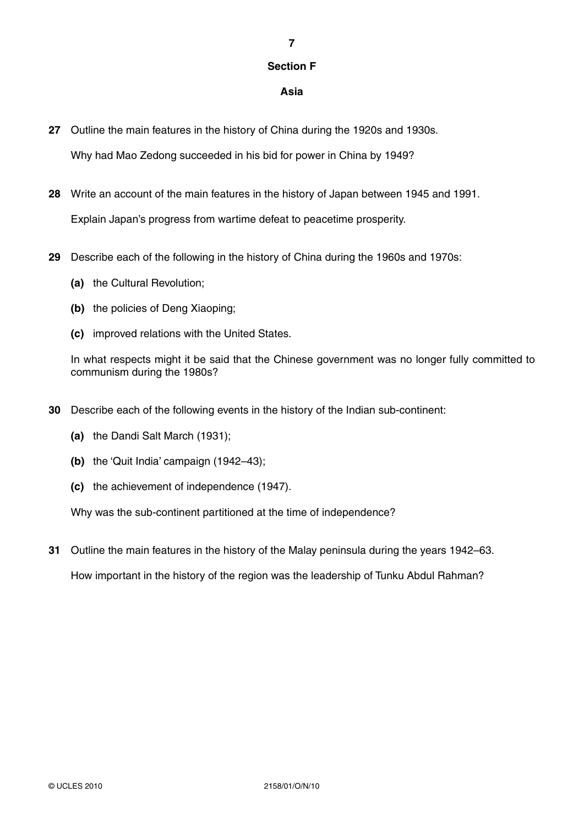# **Section F**

**7**

## **Asia**

**27** Outline the main features in the history of China during the 1920s and 1930s.

Why had Mao Zedong succeeded in his bid for power in China by 1949?

**28** Write an account of the main features in the history of Japan between 1945 and 1991.

Explain Japan's progress from wartime defeat to peacetime prosperity.

- **29** Describe each of the following in the history of China during the 1960s and 1970s:
	- **(a)** the Cultural Revolution;
	- **(b)** the policies of Deng Xiaoping;
	- **(c)** improved relations with the United States.

In what respects might it be said that the Chinese government was no longer fully committed to communism during the 1980s?

- **30** Describe each of the following events in the history of the Indian sub-continent:
	- **(a)** the Dandi Salt March (1931);
	- **(b)** the 'Quit India' campaign (1942–43);
	- **(c)** the achievement of independence (1947).

Why was the sub-continent partitioned at the time of independence?

**31** Outline the main features in the history of the Malay peninsula during the years 1942–63. How important in the history of the region was the leadership of Tunku Abdul Rahman?